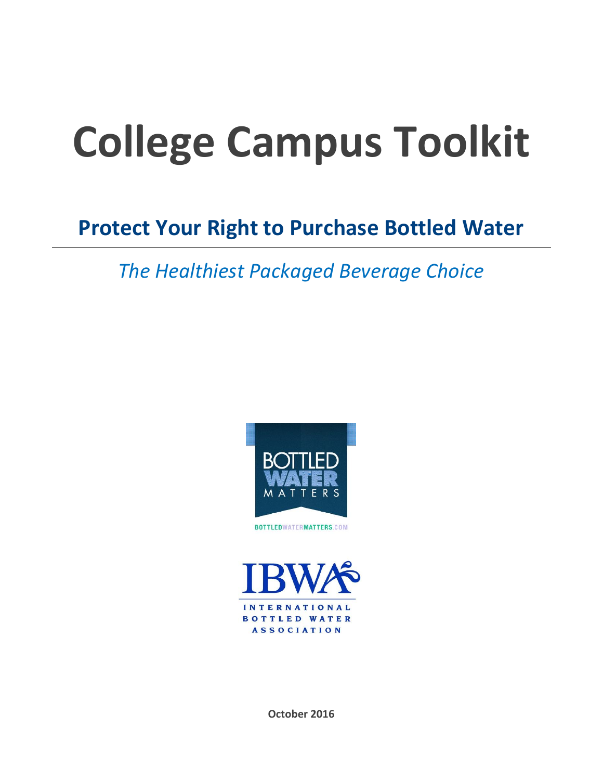# **College Campus Toolkit**

# **Protect Your Right to Purchase Bottled Water**

*The Healthiest Packaged Beverage Choice*





**October 2016**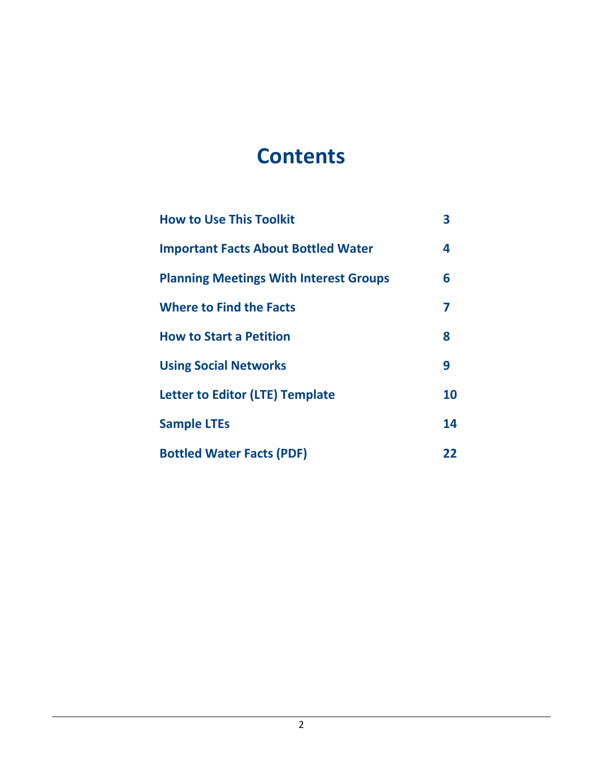# **Contents**

| <b>How to Use This Toolkit</b>                | 3  |
|-----------------------------------------------|----|
| <b>Important Facts About Bottled Water</b>    | 4  |
| <b>Planning Meetings With Interest Groups</b> | 6  |
| <b>Where to Find the Facts</b>                | 7  |
| <b>How to Start a Petition</b>                | 8  |
| <b>Using Social Networks</b>                  | 9  |
| <b>Letter to Editor (LTE) Template</b>        | 10 |
| <b>Sample LTEs</b>                            | 14 |
| <b>Bottled Water Facts (PDF)</b>              | 22 |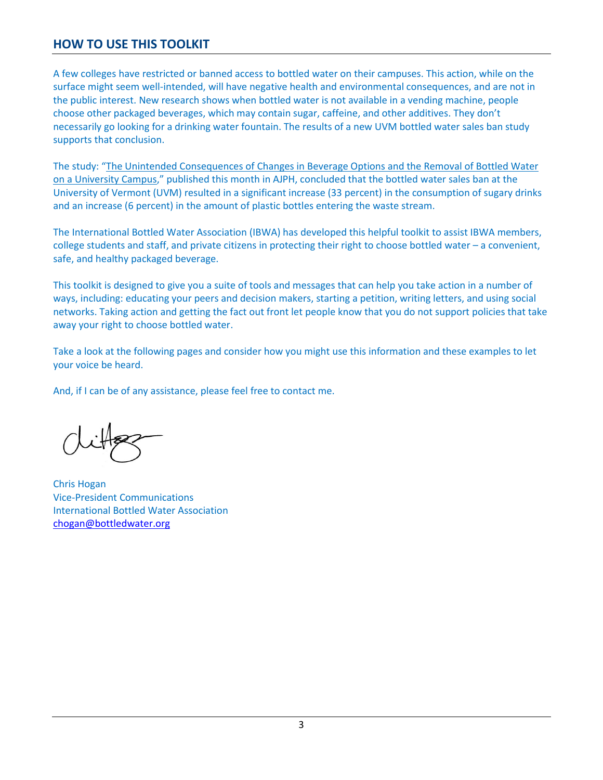# **HOW TO USE THIS TOOLKIT**

A few colleges have restricted or banned access to bottled water on their campuses. This action, while on the surface might seem well-intended, will have negative health and environmental consequences, and are not in the public interest. New research shows when bottled water is not available in a vending machine, people choose other packaged beverages, which may contain sugar, caffeine, and other additives. They don't necessarily go looking for a drinking water fountain. The results of a new UVM bottled water sales ban study supports that conclusion.

The study: "[The Unintended Consequences of Changes in Beverage Options and the Removal of Bottled Water](http://www.ncbi.nlm.nih.gov/pubmed/?term=The+Unintended+Consequences+of+Changes+in+Beverage+Options+and+the+Removal+of+Bottled+Water+on+a+University+Campus)  [on a University Campus](http://www.ncbi.nlm.nih.gov/pubmed/?term=The+Unintended+Consequences+of+Changes+in+Beverage+Options+and+the+Removal+of+Bottled+Water+on+a+University+Campus)," published this month in AJPH, concluded that the bottled water sales ban at the University of Vermont (UVM) resulted in a significant increase (33 percent) in the consumption of sugary drinks and an increase (6 percent) in the amount of plastic bottles entering the waste stream.

The International Bottled Water Association (IBWA) has developed this helpful toolkit to assist IBWA members, college students and staff, and private citizens in protecting their right to choose bottled water – a convenient, safe, and healthy packaged beverage.

This toolkit is designed to give you a suite of tools and messages that can help you take action in a number of ways, including: educating your peers and decision makers, starting a petition, writing letters, and using social networks. Taking action and getting the fact out front let people know that you do not support policies that take away your right to choose bottled water.

Take a look at the following pages and consider how you might use this information and these examples to let your voice be heard.

And, if I can be of any assistance, please feel free to contact me.

Chris Hogan Vice-President Communications International Bottled Water Association [chogan@bottledwater.org](mailto:chogan@bottledwater.org)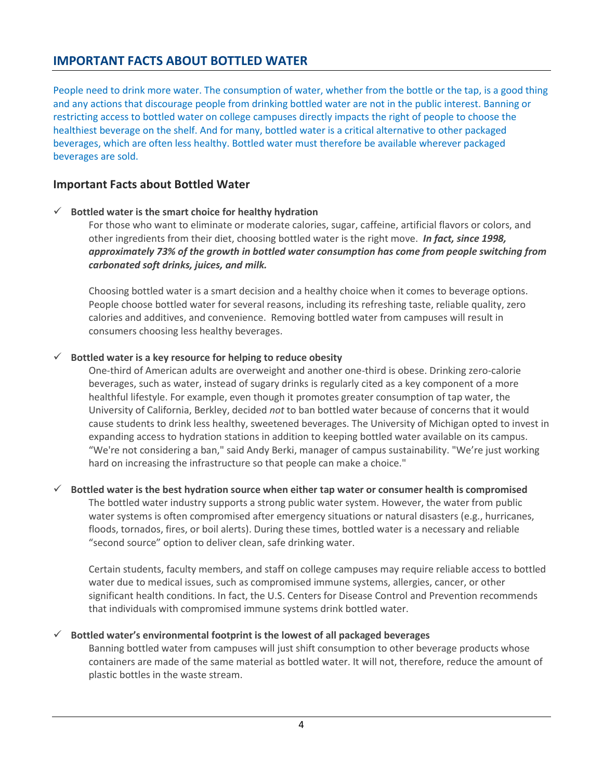# **IMPORTANT FACTS ABOUT BOTTLED WATER**

People need to drink more water. The consumption of water, whether from the bottle or the tap, is a good thing and any actions that discourage people from drinking bottled water are not in the public interest. Banning or restricting access to bottled water on college campuses directly impacts the right of people to choose the healthiest beverage on the shelf. And for many, bottled water is a critical alternative to other packaged beverages, which are often less healthy. Bottled water must therefore be available wherever packaged beverages are sold.

# **Important Facts about Bottled Water**

# **Bottled water is the smart choice for healthy hydration**

For those who want to eliminate or moderate calories, sugar, caffeine, artificial flavors or colors, and other ingredients from their diet, choosing bottled water is the right move. *In fact, since 1998, approximately 73% of the growth in bottled water consumption has come from people switching from carbonated soft drinks, juices, and milk.*

Choosing bottled water is a smart decision and a healthy choice when it comes to beverage options. People choose bottled water for several reasons, including its refreshing taste, reliable quality, zero calories and additives, and convenience. Removing bottled water from campuses will result in consumers choosing less healthy beverages.

# **Bottled water is a key resource for helping to reduce obesity**

One-third of American adults are overweight and another one-third is obese. Drinking zero-calorie beverages, such as water, instead of sugary drinks is regularly cited as a key component of a more healthful lifestyle. For example, even though it promotes greater consumption of tap water, the University of California, Berkley, decided *not* to ban bottled water because of concerns that it would cause students to drink less healthy, sweetened beverages. The University of Michigan opted to invest in expanding access to hydration stations in addition to keeping bottled water available on its campus. "We're not considering a ban," said Andy Berki, manager of campus sustainability. "We're just working hard on increasing the infrastructure so that people can make a choice."

#### **Bottled water is the best hydration source when either tap water or consumer health is compromised**

The bottled water industry supports a strong public water system. However, the water from public water systems is often compromised after emergency situations or natural disasters (e.g., hurricanes, floods, tornados, fires, or boil alerts). During these times, bottled water is a necessary and reliable "second source" option to deliver clean, safe drinking water.

Certain students, faculty members, and staff on college campuses may require reliable access to bottled water due to medical issues, such as compromised immune systems, allergies, cancer, or other significant health conditions. In fact, the U.S. Centers for Disease Control and Prevention recommends that individuals with compromised immune systems drink bottled water.

# **Bottled water's environmental footprint is the lowest of all packaged beverages**

Banning bottled water from campuses will just shift consumption to other beverage products whose containers are made of the same material as bottled water. It will not, therefore, reduce the amount of plastic bottles in the waste stream.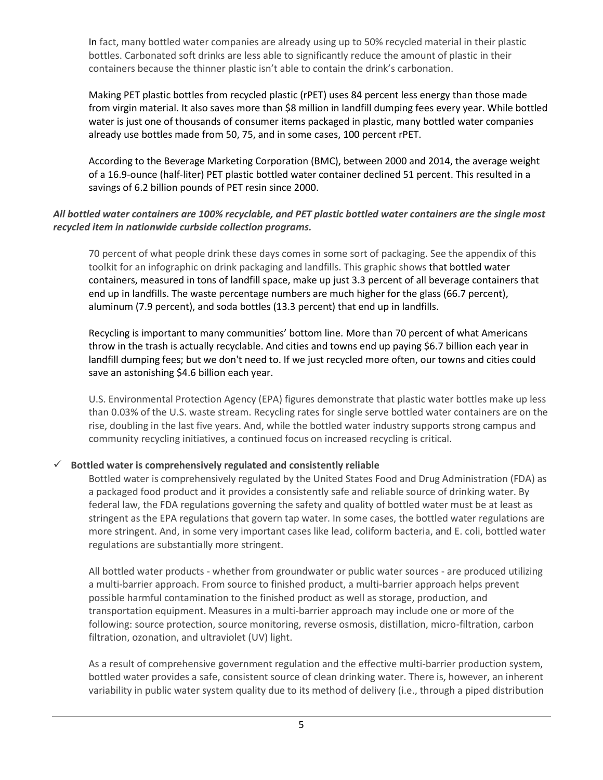In fact, many bottled water companies are already using up to 50% recycled material in their plastic bottles. Carbonated soft drinks are less able to significantly reduce the amount of plastic in their containers because the thinner plastic isn't able to contain the drink's carbonation.

Making PET plastic bottles from recycled plastic (rPET) uses 84 percent less energy than those made from virgin material. It also saves more than \$8 million in landfill dumping fees every year. While bottled water is just one of thousands of consumer items packaged in plastic, many bottled water companies already use bottles made from 50, 75, and in some cases, 100 percent rPET.

According to the Beverage Marketing Corporation (BMC), between 2000 and 2014, the average weight of a 16.9-ounce (half-liter) PET plastic bottled water container declined 51 percent. This resulted in a savings of 6.2 billion pounds of PET resin since 2000.

# *All bottled water containers are 100% recyclable, and PET plastic bottled water containers are the single most recycled item in nationwide curbside collection programs.*

70 percent of what people drink these days comes in some sort of packaging. See the appendix of this toolkit for an infographic on drink packaging and landfills. This graphic shows that bottled water containers, measured in tons of landfill space, make up just 3.3 percent of all beverage containers that end up in landfills. The waste percentage numbers are much higher for the glass (66.7 percent), aluminum (7.9 percent), and soda bottles (13.3 percent) that end up in landfills.

Recycling is important to many communities' bottom line. More than 70 percent of what Americans throw in the trash is actually recyclable. And cities and towns end up paying \$6.7 billion each year in landfill dumping fees; but we don't need to. If we just recycled more often, our towns and cities could save an astonishing \$4.6 billion each year.

U.S. Environmental Protection Agency (EPA) figures demonstrate that plastic water bottles make up less than 0.03% of the U.S. waste stream. Recycling rates for single serve bottled water containers are on the rise, doubling in the last five years. And, while the bottled water industry supports strong campus and community recycling initiatives, a continued focus on increased recycling is critical.

# **Bottled water is comprehensively regulated and consistently reliable**

Bottled water is comprehensively regulated by the United States Food and Drug Administration (FDA) as a packaged food product and it provides a consistently safe and reliable source of drinking water. By federal law, the FDA regulations governing the safety and quality of bottled water must be at least as stringent as the EPA regulations that govern tap water. In some cases, the bottled water regulations are more stringent. And, in some very important cases like lead, coliform bacteria, and E. coli, bottled water regulations are substantially more stringent.

All bottled water products - whether from groundwater or public water sources - are produced utilizing a multi-barrier approach. From source to finished product, a multi-barrier approach helps prevent possible harmful contamination to the finished product as well as storage, production, and transportation equipment. Measures in a multi-barrier approach may include one or more of the following: source protection, source monitoring, reverse osmosis, distillation, micro-filtration, carbon filtration, ozonation, and ultraviolet (UV) light.

As a result of comprehensive government regulation and the effective multi-barrier production system, bottled water provides a safe, consistent source of clean drinking water. There is, however, an inherent variability in public water system quality due to its method of delivery (i.e., through a piped distribution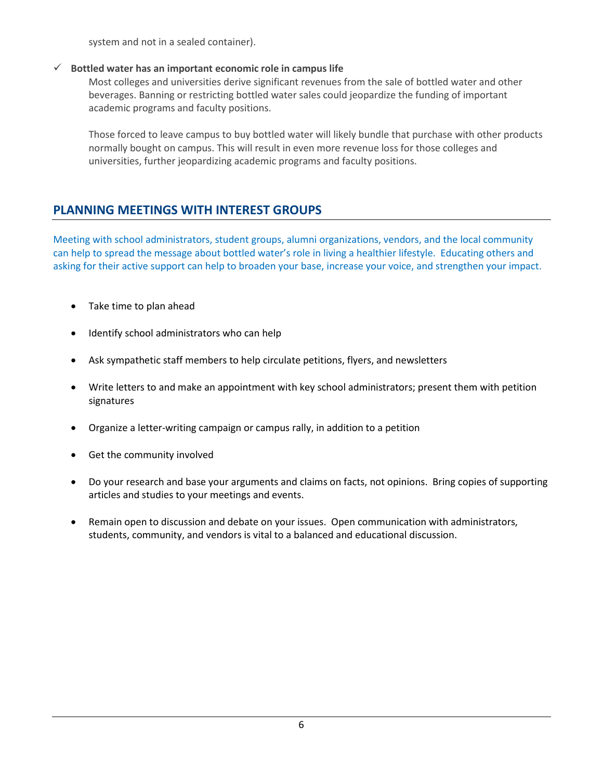system and not in a sealed container).

# **Bottled water has an important economic role in campus life**

Most colleges and universities derive significant revenues from the sale of bottled water and other beverages. Banning or restricting bottled water sales could jeopardize the funding of important academic programs and faculty positions.

Those forced to leave campus to buy bottled water will likely bundle that purchase with other products normally bought on campus. This will result in even more revenue loss for those colleges and universities, further jeopardizing academic programs and faculty positions.

# **PLANNING MEETINGS WITH INTEREST GROUPS**

Meeting with school administrators, student groups, alumni organizations, vendors, and the local community can help to spread the message about bottled water's role in living a healthier lifestyle. Educating others and asking for their active support can help to broaden your base, increase your voice, and strengthen your impact.

- Take time to plan ahead
- Identify school administrators who can help
- Ask sympathetic staff members to help circulate petitions, flyers, and newsletters
- Write letters to and make an appointment with key school administrators; present them with petition signatures
- Organize a letter-writing campaign or campus rally, in addition to a petition
- Get the community involved
- Do your research and base your arguments and claims on facts, not opinions. Bring copies of supporting articles and studies to your meetings and events.
- Remain open to discussion and debate on your issues. Open communication with administrators, students, community, and vendors is vital to a balanced and educational discussion.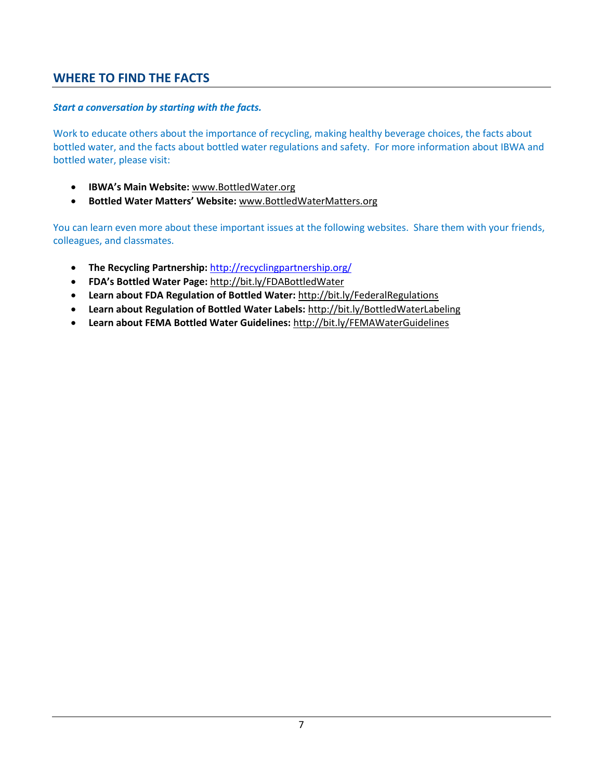# **WHERE TO FIND THE FACTS**

# *Start a conversation by starting with the facts.*

Work to educate others about the importance of recycling, making healthy beverage choices, the facts about bottled water, and the facts about bottled water regulations and safety. For more information about IBWA and bottled water, please visit:

- **IBWA's Main Website:** [www.BottledWater.org](http://www.bottledwater.org/)
- **Bottled Water Matters' Website:** [www.BottledWaterMatters.org](http://www.bottledwatermatters.org/)

You can learn even more about these important issues at the following websites. Share them with your friends, colleagues, and classmates.

- **The Recycling Partnership:** <http://recyclingpartnership.org/>
- **FDA's Bottled Water Page:** <http://bit.ly/FDABottledWater>
- **Learn about FDA Regulation of Bottled Water:** <http://bit.ly/FederalRegulations>
- **Learn about Regulation of Bottled Water Labels:** <http://bit.ly/BottledWaterLabeling>
- **Learn about FEMA Bottled Water Guidelines:** <http://bit.ly/FEMAWaterGuidelines>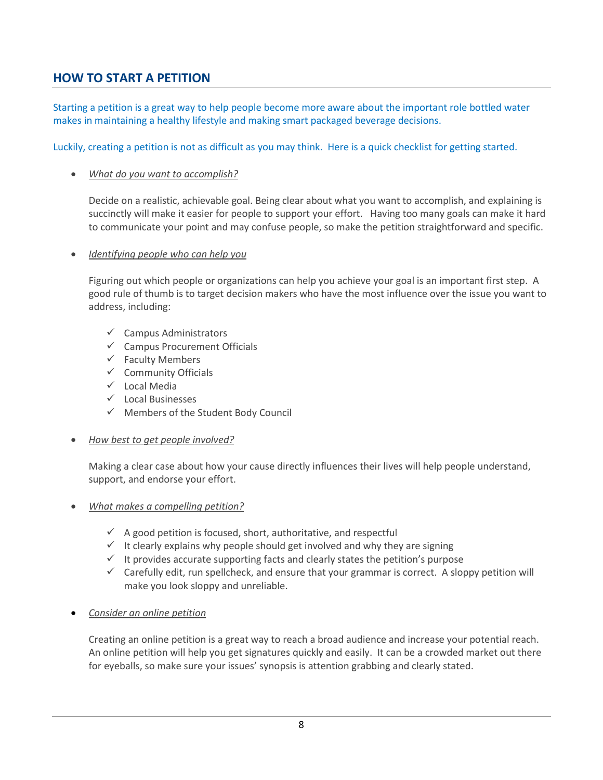# **HOW TO START A PETITION**

Starting a petition is a great way to help people become more aware about the important role bottled water makes in maintaining a healthy lifestyle and making smart packaged beverage decisions.

Luckily, creating a petition is not as difficult as you may think. Here is a quick checklist for getting started.

# *What do you want to accomplish?*

Decide on a realistic, achievable goal. Being clear about what you want to accomplish, and explaining is succinctly will make it easier for people to support your effort. Having too many goals can make it hard to communicate your point and may confuse people, so make the petition straightforward and specific.

*Identifying people who can help you*

Figuring out which people or organizations can help you achieve your goal is an important first step. A good rule of thumb is to target decision makers who have the most influence over the issue you want to address, including:

- $\checkmark$  Campus Administrators
- $\checkmark$  Campus Procurement Officials
- $\checkmark$  Faculty Members
- $\checkmark$  Community Officials
- $\checkmark$  Local Media
- Local Businesses
- $\checkmark$  Members of the Student Body Council

# *How best to get people involved?*

Making a clear case about how your cause directly influences their lives will help people understand, support, and endorse your effort.

- *What makes a compelling petition?*
	- $\checkmark$  A good petition is focused, short, authoritative, and respectful
	- $\checkmark$  It clearly explains why people should get involved and why they are signing
	- $\checkmark$  It provides accurate supporting facts and clearly states the petition's purpose
	- $\checkmark$  Carefully edit, run spellcheck, and ensure that your grammar is correct. A sloppy petition will make you look sloppy and unreliable.

# *Consider an online petition*

Creating an online petition is a great way to reach a broad audience and increase your potential reach. An online petition will help you get signatures quickly and easily. It can be a crowded market out there for eyeballs, so make sure your issues' synopsis is attention grabbing and clearly stated.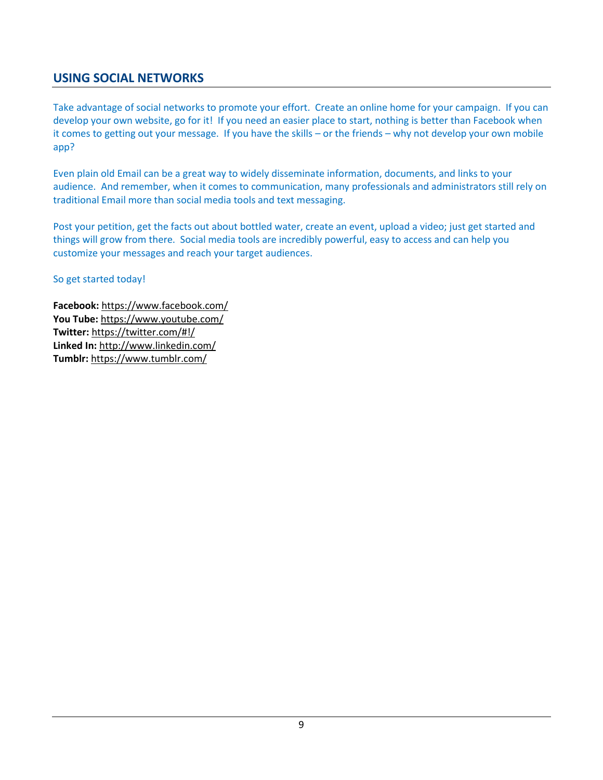# **USING SOCIAL NETWORKS**

Take advantage of social networks to promote your effort. Create an online home for your campaign. If you can develop your own website, go for it! If you need an easier place to start, nothing is better than Facebook when it comes to getting out your message. If you have the skills – or the friends – why not develop your own mobile app?

Even plain old Email can be a great way to widely disseminate information, documents, and links to your audience. And remember, when it comes to communication, many professionals and administrators still rely on traditional Email more than social media tools and text messaging.

Post your petition, get the facts out about bottled water, create an event, upload a video; just get started and things will grow from there. Social media tools are incredibly powerful, easy to access and can help you customize your messages and reach your target audiences.

So get started today!

**Facebook:** <https://www.facebook.com/> **You Tube:** <https://www.youtube.com/> **Twitter:** <https://twitter.com/#!/> **Linked In:** <http://www.linkedin.com/> **Tumblr:** <https://www.tumblr.com/>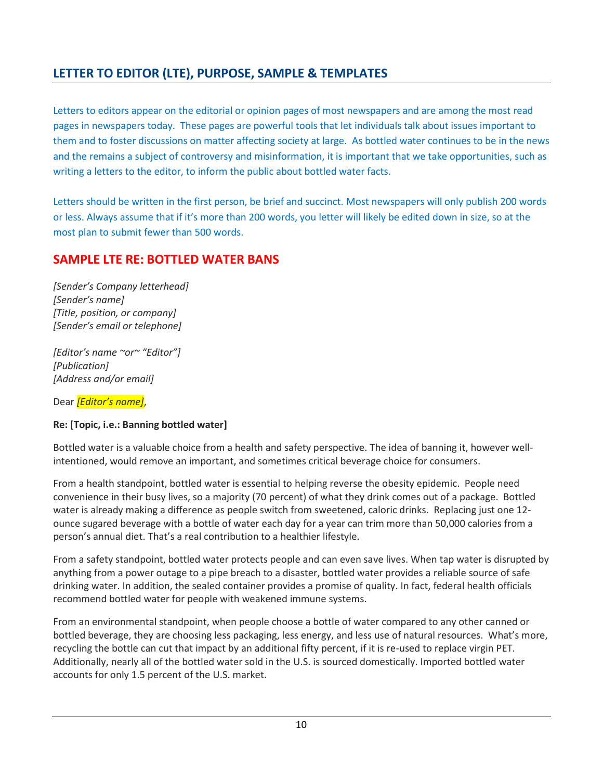# **LETTER TO EDITOR (LTE), PURPOSE, SAMPLE & TEMPLATES**

Letters to editors appear on the editorial or opinion pages of most newspapers and are among the most read pages in newspapers today. These pages are powerful tools that let individuals talk about issues important to them and to foster discussions on matter affecting society at large. As bottled water continues to be in the news and the remains a subject of controversy and misinformation, it is important that we take opportunities, such as writing a letters to the editor, to inform the public about bottled water facts.

Letters should be written in the first person, be brief and succinct. Most newspapers will only publish 200 words or less. Always assume that if it's more than 200 words, you letter will likely be edited down in size, so at the most plan to submit fewer than 500 words.

# **SAMPLE LTE RE: BOTTLED WATER BANS**

*[Sender's Company letterhead] [Sender's name] [Title, position, or company] [Sender's email or telephone]*

*[Editor's name ~or~ "Editor"] [Publication] [Address and/or email]*

Dear *[Editor's name]*,

# **Re: [Topic, i.e.: Banning bottled water]**

Bottled water is a valuable choice from a health and safety perspective. The idea of banning it, however wellintentioned, would remove an important, and sometimes critical beverage choice for consumers.

From a health standpoint, bottled water is essential to helping reverse the obesity epidemic. People need convenience in their busy lives, so a majority (70 percent) of what they drink comes out of a package. Bottled water is already making a difference as people switch from sweetened, caloric drinks. Replacing just one 12 ounce sugared beverage with a bottle of water each day for a year can trim more than 50,000 calories from a person's annual diet. That's a real contribution to a healthier lifestyle.

From a safety standpoint, bottled water protects people and can even save lives. When tap water is disrupted by anything from a power outage to a pipe breach to a disaster, bottled water provides a reliable source of safe drinking water. In addition, the sealed container provides a promise of quality. In fact, federal health officials recommend bottled water for people with weakened immune systems.

From an environmental standpoint, when people choose a bottle of water compared to any other canned or bottled beverage, they are choosing less packaging, less energy, and less use of natural resources. What's more, recycling the bottle can cut that impact by an additional fifty percent, if it is re-used to replace virgin PET. Additionally, nearly all of the bottled water sold in the U.S. is sourced domestically. Imported bottled water accounts for only 1.5 percent of the U.S. market.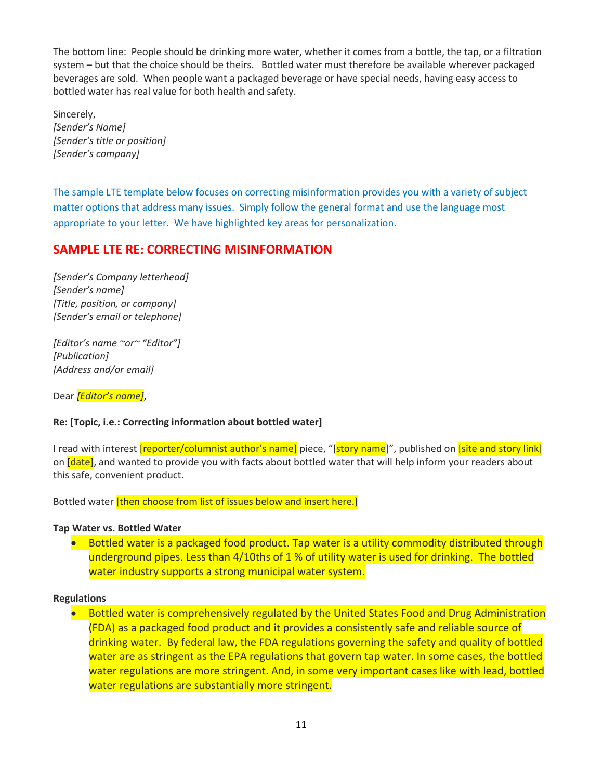The bottom line: People should be drinking more water, whether it comes from a bottle, the tap, or a filtration system – but that the choice should be theirs. Bottled water must therefore be available wherever packaged beverages are sold. When people want a packaged beverage or have special needs, having easy access to bottled water has real value for both health and safety.

Sincerely, *[Sender's Name] [Sender's title or position] [Sender's company]*

The sample LTE template below focuses on correcting misinformation provides you with a variety of subject matter options that address many issues. Simply follow the general format and use the language most appropriate to your letter. We have highlighted key areas for personalization.

# **SAMPLE LTE RE: CORRECTING MISINFORMATION**

*[Sender's Company letterhead] [Sender's name] [Title, position, or company] [Sender's email or telephone]*

*[Editor's name ~or~ "Editor"] [Publication] [Address and/or email]*

Dear *[Editor's name]*,

# **Re: [Topic, i.e.: Correcting information about bottled water]**

I read with interest *[reporter/columnist author's name]* piece, "[story name]", published on *[site and story link]* on *[date]*, and wanted to provide you with facts about bottled water that will help inform your readers about this safe, convenient product.

Bottled water *[then choose from list of issues below and insert here.]* 

# **Tap Water vs. Bottled Water**

 Bottled water is a packaged food product. Tap water is a utility commodity distributed through underground pipes. Less than 4/10ths of 1 % of utility water is used for drinking. The bottled water industry supports a strong municipal water system.

# **Regulations**

 Bottled water is comprehensively regulated by the United States Food and Drug Administration (FDA) as a packaged food product and it provides a consistently safe and reliable source of drinking water. By federal law, the FDA regulations governing the safety and quality of bottled water are as stringent as the EPA regulations that govern tap water. In some cases, the bottled water regulations are more stringent. And, in some very important cases like with lead, bottled water regulations are substantially more stringent.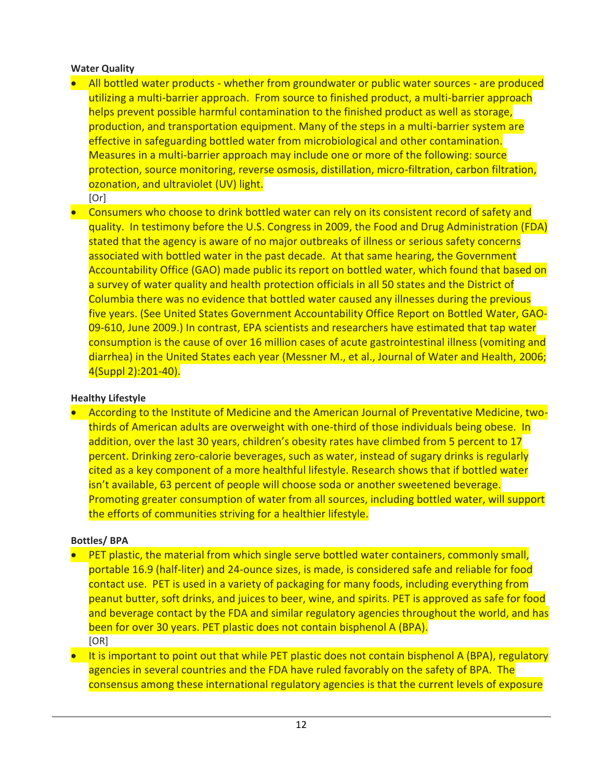# **Water Quality**

- All bottled water products whether from groundwater or public water sources are produced utilizing a multi-barrier approach. From source to finished product, a multi-barrier approach helps prevent possible harmful contamination to the finished product as well as storage, production, and transportation equipment. Many of the steps in a multi-barrier system are effective in safeguarding bottled water from microbiological and other contamination. Measures in a multi-barrier approach may include one or more of the following: source protection, source monitoring, reverse osmosis, distillation, micro-filtration, carbon filtration, ozonation, and ultraviolet (UV) light.
	- [Or]
- Consumers who choose to drink bottled water can rely on its consistent record of safety and quality. In testimony before the U.S. Congress in 2009, the Food and Drug Administration (FDA) stated that the agency is aware of no major outbreaks of illness or serious safety concerns associated with bottled water in the past decade. At that same hearing, the Government Accountability Office (GAO) made public its report on bottled water, which found that based on a survey of water quality and health protection officials in all 50 states and the District of Columbia there was no evidence that bottled water caused any illnesses during the previous five years. (See United States Government Accountability Office Report on Bottled Water, GAO-09-610, June 2009.) In contrast, EPA scientists and researchers have estimated that tap water consumption is the cause of over 16 million cases of acute gastrointestinal illness (vomiting and diarrhea) in the United States each year (Messner M., et al., Journal of Water and Health, 2006; 4(Suppl 2):201-40).

# **Healthy Lifestyle**

 According to the Institute of Medicine and the American Journal of Preventative Medicine, twothirds of American adults are overweight with one-third of those individuals being obese. In addition, over the last 30 years, children's obesity rates have climbed from 5 percent to 17 percent. Drinking zero-calorie beverages, such as water, instead of sugary drinks is regularly cited as a key component of a more healthful lifestyle. Research shows that if bottled water isn't available, 63 percent of people will choose soda or another sweetened beverage. Promoting greater consumption of water from all sources, including bottled water, will support the efforts of communities striving for a healthier lifestyle.

# **Bottles/ BPA**

- PET plastic, the material from which single serve bottled water containers, commonly small, portable 16.9 (half-liter) and 24-ounce sizes, is made, is considered safe and reliable for food contact use. PET is used in a variety of packaging for many foods, including everything from peanut butter, soft drinks, and juices to beer, wine, and spirits. PET is approved as safe for food and beverage contact by the FDA and similar regulatory agencies throughout the world, and has been for over 30 years. PET plastic does not contain bisphenol A (BPA). [OR]
- $\bullet$  It is important to point out that while PET plastic does not contain bisphenol A (BPA), regulatory agencies in several countries and the FDA have ruled favorably on the safety of BPA. The consensus among these international regulatory agencies is that the current levels of exposure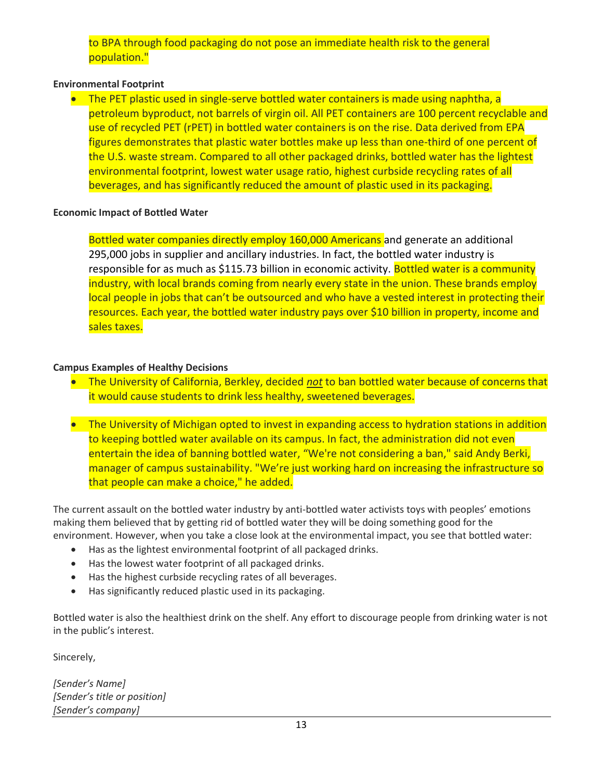# to BPA through food packaging do not pose an immediate health risk to the general population."

# **Environmental Footprint**

• The PET plastic used in single-serve bottled water containers is made using naphtha, a petroleum byproduct, not barrels of virgin oil. All PET containers are 100 percent recyclable and use of recycled PET (rPET) in bottled water containers is on the rise. Data derived from EPA figures demonstrates that plastic water bottles make up less than one-third of one percent of the U.S. waste stream. Compared to all other packaged drinks, bottled water has the lightest environmental footprint, lowest water usage ratio, highest curbside recycling rates of all beverages, and has significantly reduced the amount of plastic used in its packaging.

#### **Economic Impact of Bottled Water**

Bottled water companies directly employ 160,000 Americans and generate an additional 295,000 jobs in supplier and ancillary industries. In fact, the bottled water industry is responsible for as much as \$115.73 billion in economic activity. Bottled water is a community industry, with local brands coming from nearly every state in the union. These brands employ local people in jobs that can't be outsourced and who have a vested interest in protecting their resources. Each year, the bottled water industry pays over \$10 billion in property, income and sales taxes.

#### **Campus Examples of Healthy Decisions**

- The University of California, Berkley, decided *not* to ban bottled water because of concerns that it would cause students to drink less healthy, sweetened beverages.
- The University of Michigan opted to invest in expanding access to hydration stations in addition to keeping bottled water available on its campus. In fact, the administration did not even entertain the idea of banning bottled water, "We're not considering a ban," said Andy Berki, manager of campus sustainability. "We're just working hard on increasing the infrastructure so that people can make a choice," he added.

The current assault on the bottled water industry by anti-bottled water activists toys with peoples' emotions making them believed that by getting rid of bottled water they will be doing something good for the environment. However, when you take a close look at the environmental impact, you see that bottled water:

- Has as the lightest environmental footprint of all packaged drinks.
- Has the lowest water footprint of all packaged drinks.
- Has the highest curbside recycling rates of all beverages.
- Has significantly reduced plastic used in its packaging.

Bottled water is also the healthiest drink on the shelf. Any effort to discourage people from drinking water is not in the public's interest.

Sincerely,

*[Sender's Name] [Sender's title or position] [Sender's company]*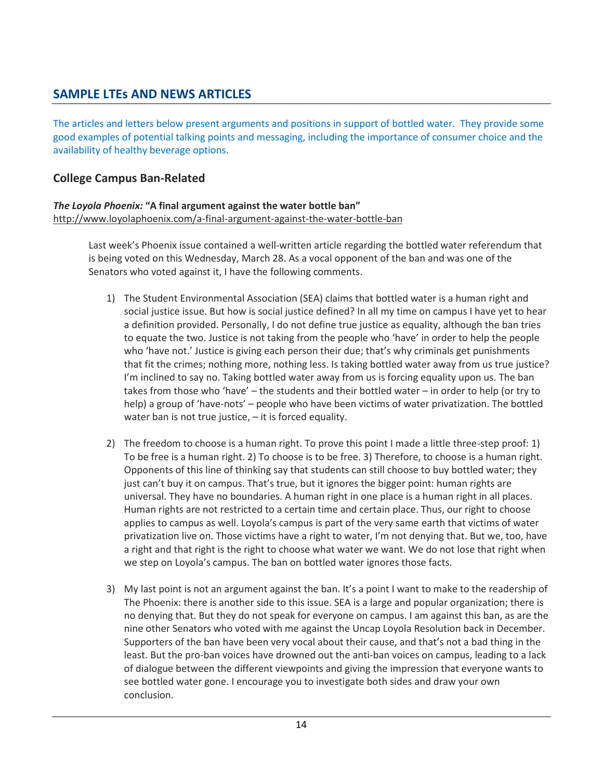# **SAMPLE LTEs AND NEWS ARTICLES**

The articles and letters below present arguments and positions in support of bottled water. They provide some good examples of potential talking points and messaging, including the importance of consumer choice and the availability of healthy beverage options.

# **College Campus Ban-Related**

#### *The Loyola Phoenix:* **"A final argument against the water bottle ban"** <http://www.loyolaphoenix.com/a-final-argument-against-the-water-bottle-ban>

Last week's Phoenix issue contained a well-written article regarding the bottled water referendum that is being voted on this Wednesday, March 28. As a vocal opponent of the ban and was one of the Senators who voted against it, I have the following comments.

- 1) The Student Environmental Association (SEA) claims that bottled water is a human right and social justice issue. But how is social justice defined? In all my time on campus I have yet to hear a definition provided. Personally, I do not define true justice as equality, although the ban tries to equate the two. Justice is not taking from the people who 'have' in order to help the people who 'have not.' Justice is giving each person their due; that's why criminals get punishments that fit the crimes; nothing more, nothing less. Is taking bottled water away from us true justice? I'm inclined to say no. Taking bottled water away from us is forcing equality upon us. The ban takes from those who 'have' – the students and their bottled water – in order to help (or try to help) a group of 'have-nots' – people who have been victims of water privatization. The bottled water ban is not true justice, - it is forced equality.
- 2) The freedom to choose is a human right. To prove this point I made a little three-step proof: 1) To be free is a human right. 2) To choose is to be free. 3) Therefore, to choose is a human right. Opponents of this line of thinking say that students can still choose to buy bottled water; they just can't buy it on campus. That's true, but it ignores the bigger point: human rights are universal. They have no boundaries. A human right in one place is a human right in all places. Human rights are not restricted to a certain time and certain place. Thus, our right to choose applies to campus as well. Loyola's campus is part of the very same earth that victims of water privatization live on. Those victims have a right to water, I'm not denying that. But we, too, have a right and that right is the right to choose what water we want. We do not lose that right when we step on Loyola's campus. The ban on bottled water ignores those facts.
- 3) My last point is not an argument against the ban. It's a point I want to make to the readership of The Phoenix: there is another side to this issue. SEA is a large and popular organization; there is no denying that. But they do not speak for everyone on campus. I am against this ban, as are the nine other Senators who voted with me against the Uncap Loyola Resolution back in December. Supporters of the ban have been very vocal about their cause, and that's not a bad thing in the least. But the pro-ban voices have drowned out the anti-ban voices on campus, leading to a lack of dialogue between the different viewpoints and giving the impression that everyone wants to see bottled water gone. I encourage you to investigate both sides and draw your own conclusion.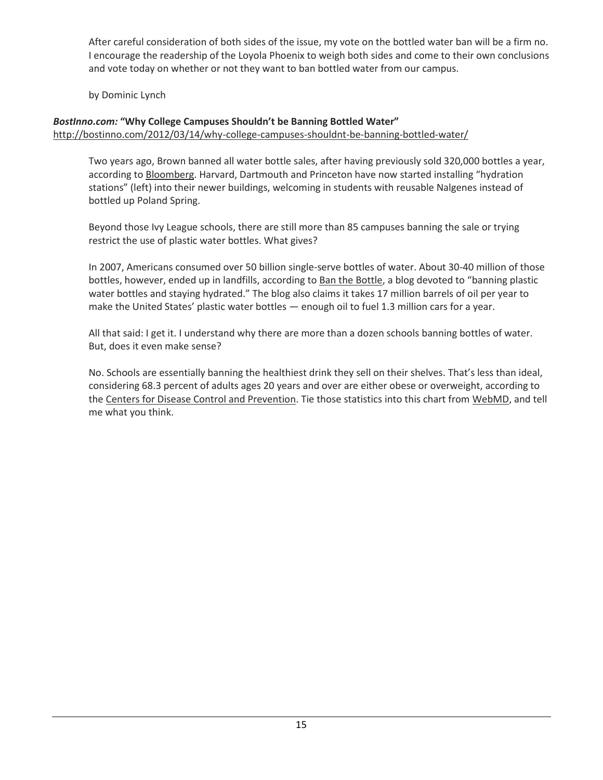After careful consideration of both sides of the issue, my vote on the bottled water ban will be a firm no. I encourage the readership of the Loyola Phoenix to weigh both sides and come to their own conclusions and vote today on whether or not they want to ban bottled water from our campus.

by Dominic Lynch

# *BostInno.com:* **"Why College Campuses Shouldn't be Banning Bottled Water"** <http://bostinno.com/2012/03/14/why-college-campuses-shouldnt-be-banning-bottled-water/>

Two years ago, Brown banned all water bottle sales, after having previously sold 320,000 bottles a year, according to [Bloomberg](http://www.bloomberg.com/news/2012-03-07/ivy-colleges-shunning-bottled-water-jab-at-22-billion-industry.html). Harvard, Dartmouth and Princeton have now started installing "hydration stations" (left) into their newer buildings, welcoming in students with reusable Nalgenes instead of bottled up Poland Spring.

Beyond those Ivy League schools, there are still more than 85 campuses banning the sale or trying restrict the use of plastic water bottles. What gives?

In 2007, Americans consumed over 50 billion single-serve bottles of water. About 30-40 million of those bottles, however, ended up in landfills, according to [Ban the Bottle,](http://www.banthebottle.net/) a blog devoted to "banning plastic water bottles and staying hydrated." The blog also claims it takes 17 million barrels of oil per year to make the United States' plastic water bottles — enough oil to fuel 1.3 million cars for a year.

All that said: I get it. I understand why there are more than a dozen schools banning bottles of water. But, does it even make sense?

No. Schools are essentially banning the healthiest drink they sell on their shelves. That's less than ideal, considering 68.3 percent of adults ages 20 years and over are either obese or overweight, according to th[e Centers for Disease Control and Prevention.](http://www.cdc.gov/nchs/fastats/overwt.htm) Tie those statistics into this chart fro[m WebMD,](http://www.webmd.com/diet/calories-in-drinks-and-popular-beverages) and tell me what you think.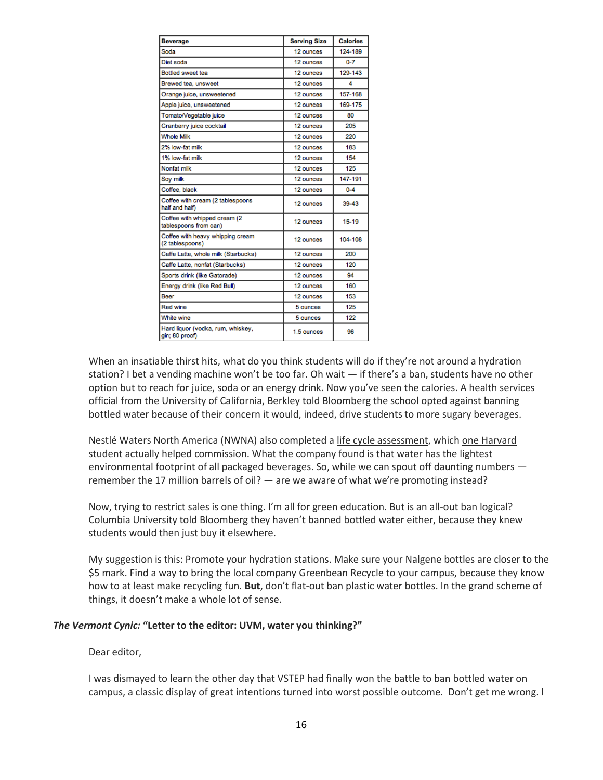| <b>Beverage</b>                                        | <b>Serving Size</b> | <b>Calories</b> |
|--------------------------------------------------------|---------------------|-----------------|
| Soda                                                   | 12 ounces           | 124-189         |
| Diet soda                                              | 12 ounces           | $0 - 7$         |
| Bottled sweet tea                                      | 12 ounces           | 129-143         |
| Brewed tea, unsweet                                    | 12 ounces           | 4               |
| Orange juice, unsweetened                              | 12 ounces           | 157-168         |
| Apple juice, unsweetened                               | 12 ounces           | 169-175         |
| Tomato/Vegetable juice                                 | 12 ounces           | 80              |
| Cranberry juice cocktail                               | 12 ounces           | 205             |
| <b>Whole Milk</b>                                      | 12 ounces           | 220             |
| 2% low-fat milk                                        | 12 ounces           | 183             |
| 1% low-fat milk                                        | 12 ounces           | 154             |
| Nonfat milk                                            | 12 ounces           | 125             |
| Sov milk                                               | 12 ounces           | 147-191         |
| Coffee, black                                          | 12 ounces           | $0 - 4$         |
| Coffee with cream (2 tablespoons<br>half and half)     | 12 ounces           | 39-43           |
| Coffee with whipped cream (2)<br>tablespoons from can) | 12 ounces           | 15-19           |
| Coffee with heavy whipping cream<br>(2 tablespoons)    | 12 ounces           | 104-108         |
| Caffe Latte, whole milk (Starbucks)                    | 12 ounces           | 200             |
| Caffe Latte, nonfat (Starbucks)                        | 12 ounces           | 120             |
| Sports drink (like Gatorade)                           | 12 ounces           | 94              |
| Energy drink (like Red Bull)                           | 12 ounces           | 160             |
| Beer                                                   | 12 ounces           | 153             |
| Red wine                                               | 5 ounces            | 125             |
| White wine                                             | 5 ounces            | 122             |
| Hard liquor (vodka, rum, whiskey,<br>gin; 80 proof)    | 1.5 ounces          | 96              |

When an insatiable thirst hits, what do you think students will do if they're not around a hydration station? I bet a vending machine won't be too far. Oh wait — if there's a ban, students have no other option but to reach for juice, soda or an energy drink. Now you've seen the calories. A health services official from the University of California, Berkley told Bloomberg the school opted against banning bottled water because of their concern it would, indeed, drive students to more sugary beverages.

Nestlé Waters North America (NWNA) also completed a [life cycle assessment,](http://beveragelcafootprint.com/) which [one Harvard](http://www.thecrimson.com/article/2010/10/21/water-bottled-beverage-people/)  [student](http://www.thecrimson.com/article/2010/10/21/water-bottled-beverage-people/) actually helped commission. What the company found is that water has the lightest environmental footprint of all packaged beverages. So, while we can spout off daunting numbers remember the 17 million barrels of oil? — are we aware of what we're promoting instead?

Now, trying to restrict sales is one thing. I'm all for green education. But is an all-out ban logical? Columbia University told Bloomberg they haven't banned bottled water either, because they knew students would then just buy it elsewhere.

My suggestion is this: Promote your hydration stations. Make sure your Nalgene bottles are closer to the \$5 mark. Find a way to bring the local compan[y Greenbean Recycle](http://bostinno.com/2012/03/01/after-turning-trash-into-a-game-at-mit-greenbean-recycle-brings-the-fun-to-tufts/) to your campus, because they know how to at least make recycling fun. **But**, don't flat-out ban plastic water bottles. In the grand scheme of things, it doesn't make a whole lot of sense.

# *The Vermont Cynic:* **"Letter to the editor: UVM, water you thinking?"**

#### Dear editor,

I was dismayed to learn the other day that VSTEP had finally won the battle to ban bottled water on campus, a classic display of great intentions turned into worst possible outcome. Don't get me wrong. I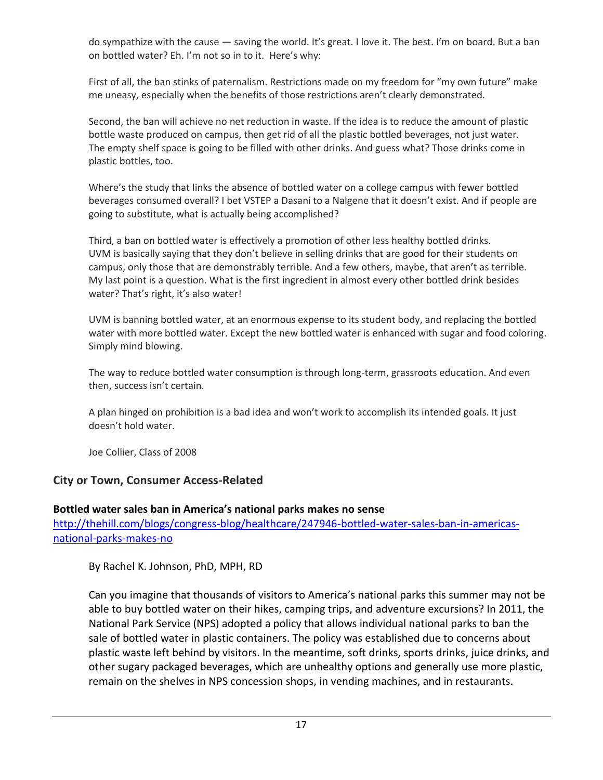do sympathize with the cause — saving the world. It's great. I love it. The best. I'm on board. But a ban on bottled water? Eh. I'm not so in to it. Here's why:

First of all, the ban stinks of paternalism. Restrictions made on my freedom for "my own future" make me uneasy, especially when the benefits of those restrictions aren't clearly demonstrated.

Second, the ban will achieve no net reduction in waste. If the idea is to reduce the amount of plastic bottle waste produced on campus, then get rid of all the plastic bottled beverages, not just water. The empty shelf space is going to be filled with other drinks. And guess what? Those drinks come in plastic bottles, too.

Where's the study that links the absence of bottled water on a college campus with fewer bottled beverages consumed overall? I bet VSTEP a Dasani to a Nalgene that it doesn't exist. And if people are going to substitute, what is actually being accomplished?

Third, a ban on bottled water is effectively a promotion of other less healthy bottled drinks. UVM is basically saying that they don't believe in selling drinks that are good for their students on campus, only those that are demonstrably terrible. And a few others, maybe, that aren't as terrible. My last point is a question. What is the first ingredient in almost every other bottled drink besides water? That's right, it's also water!

UVM is banning bottled water, at an enormous expense to its student body, and replacing the bottled water with more bottled water. Except the new bottled water is enhanced with sugar and food coloring. Simply mind blowing.

The way to reduce bottled water consumption is through long-term, grassroots education. And even then, success isn't certain.

A plan hinged on prohibition is a bad idea and won't work to accomplish its intended goals. It just doesn't hold water.

Joe Collier, Class of 2008

# **City or Town, Consumer Access-Related**

# **Bottled water sales ban in America's national parks makes no sense**

[http://thehill.com/blogs/congress-blog/healthcare/247946-bottled-water-sales-ban-in-americas](http://thehill.com/blogs/congress-blog/healthcare/247946-bottled-water-sales-ban-in-americas-national-parks-makes-no)[national-parks-makes-no](http://thehill.com/blogs/congress-blog/healthcare/247946-bottled-water-sales-ban-in-americas-national-parks-makes-no)

By Rachel K. Johnson, PhD, MPH, RD

Can you imagine that thousands of visitors to America's national parks this summer may not be able to buy bottled water on their hikes, camping trips, and adventure excursions? In 2011, the National Park Service (NPS) adopted a policy that allows individual national parks to ban the sale of bottled water in plastic containers. The policy was established due to concerns about plastic waste left behind by visitors. In the meantime, soft drinks, sports drinks, juice drinks, and other sugary packaged beverages, which are unhealthy options and generally use more plastic, remain on the shelves in NPS concession shops, in vending machines, and in restaurants.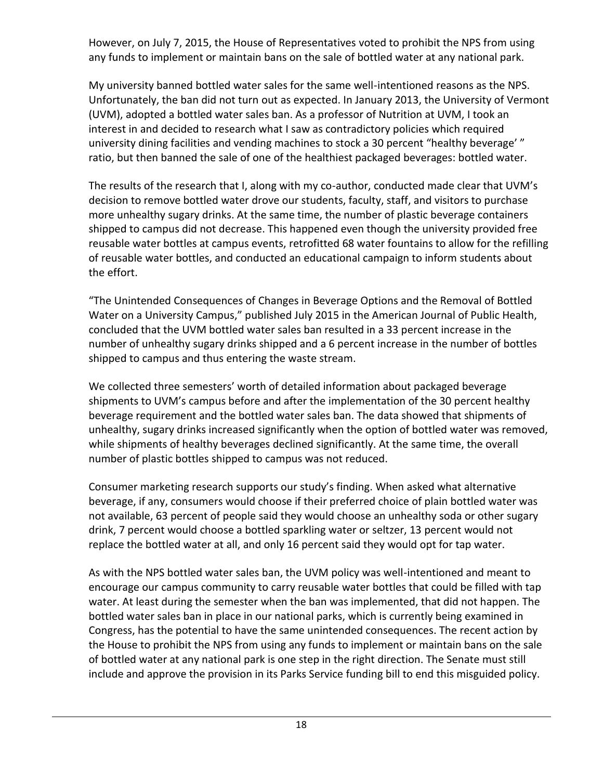However, on July 7, 2015, the House of Representatives voted to prohibit the NPS from using any funds to implement or maintain bans on the sale of bottled water at any national park.

My university banned bottled water sales for the same well-intentioned reasons as the NPS. Unfortunately, the ban did not turn out as expected. In January 2013, the University of Vermont (UVM), adopted a bottled water sales ban. As a professor of Nutrition at UVM, I took an interest in and decided to research what I saw as contradictory policies which required university dining facilities and vending machines to stock a 30 percent "healthy beverage' " ratio, but then banned the sale of one of the healthiest packaged beverages: bottled water.

The results of the research that I, along with my co-author, conducted made clear that UVM's decision to remove bottled water drove our students, faculty, staff, and visitors to purchase more unhealthy sugary drinks. At the same time, the number of plastic beverage containers shipped to campus did not decrease. This happened even though the university provided free reusable water bottles at campus events, retrofitted 68 water fountains to allow for the refilling of reusable water bottles, and conducted an educational campaign to inform students about the effort.

"The Unintended Consequences of Changes in Beverage Options and the Removal of Bottled Water on a University Campus," published July 2015 in the American Journal of Public Health, concluded that the UVM bottled water sales ban resulted in a 33 percent increase in the number of unhealthy sugary drinks shipped and a 6 percent increase in the number of bottles shipped to campus and thus entering the waste stream.

We collected three semesters' worth of detailed information about packaged beverage shipments to UVM's campus before and after the implementation of the 30 percent healthy beverage requirement and the bottled water sales ban. The data showed that shipments of unhealthy, sugary drinks increased significantly when the option of bottled water was removed, while shipments of healthy beverages declined significantly. At the same time, the overall number of plastic bottles shipped to campus was not reduced.

Consumer marketing research supports our study's finding. When asked what alternative beverage, if any, consumers would choose if their preferred choice of plain bottled water was not available, 63 percent of people said they would choose an unhealthy soda or other sugary drink, 7 percent would choose a bottled sparkling water or seltzer, 13 percent would not replace the bottled water at all, and only 16 percent said they would opt for tap water.

As with the NPS bottled water sales ban, the UVM policy was well-intentioned and meant to encourage our campus community to carry reusable water bottles that could be filled with tap water. At least during the semester when the ban was implemented, that did not happen. The bottled water sales ban in place in our national parks, which is currently being examined in Congress, has the potential to have the same unintended consequences. The recent action by the House to prohibit the NPS from using any funds to implement or maintain bans on the sale of bottled water at any national park is one step in the right direction. The Senate must still include and approve the provision in its Parks Service funding bill to end this misguided policy.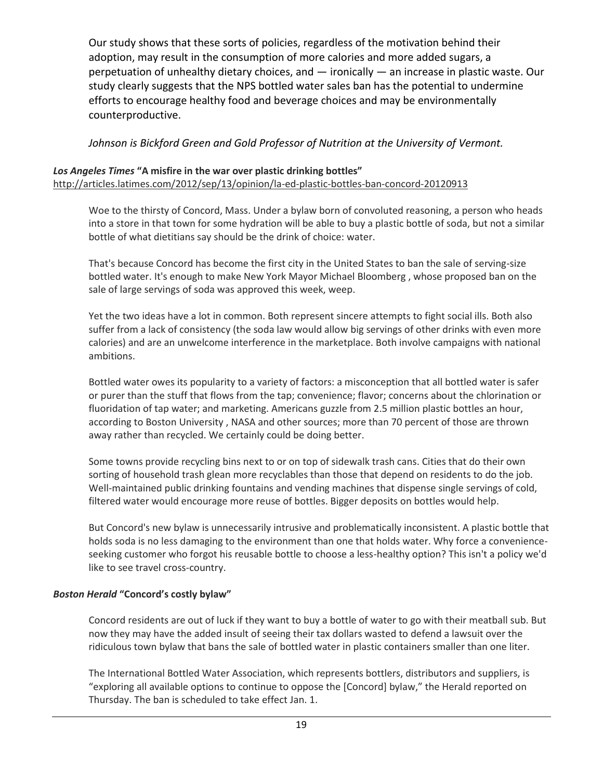Our study shows that these sorts of policies, regardless of the motivation behind their adoption, may result in the consumption of more calories and more added sugars, a perpetuation of unhealthy dietary choices, and — ironically — an increase in plastic waste. Our study clearly suggests that the NPS bottled water sales ban has the potential to undermine efforts to encourage healthy food and beverage choices and may be environmentally counterproductive.

# *Johnson is Bickford Green and Gold Professor of Nutrition at the University of Vermont.*

# *Los Angeles Times* **"A misfire in the war over plastic drinking bottles"**

<http://articles.latimes.com/2012/sep/13/opinion/la-ed-plastic-bottles-ban-concord-20120913>

Woe to the thirsty of Concord, Mass. Under a bylaw born of convoluted reasoning, a person who heads into a store in that town for some hydration will be able to buy a plastic bottle of soda, but not a similar bottle of what dietitians say should be the drink of choice: water.

That's because Concord has become the first city in the United States to ban the sale of serving-size bottled water. It's enough to make New York Mayor Michael Bloomberg , whose proposed ban on the sale of large servings of soda was approved this week, weep.

Yet the two ideas have a lot in common. Both represent sincere attempts to fight social ills. Both also suffer from a lack of consistency (the soda law would allow big servings of other drinks with even more calories) and are an unwelcome interference in the marketplace. Both involve campaigns with national ambitions.

Bottled water owes its popularity to a variety of factors: a misconception that all bottled water is safer or purer than the stuff that flows from the tap; convenience; flavor; concerns about the chlorination or fluoridation of tap water; and marketing. Americans guzzle from 2.5 million plastic bottles an hour, according to Boston University , NASA and other sources; more than 70 percent of those are thrown away rather than recycled. We certainly could be doing better.

Some towns provide recycling bins next to or on top of sidewalk trash cans. Cities that do their own sorting of household trash glean more recyclables than those that depend on residents to do the job. Well-maintained public drinking fountains and vending machines that dispense single servings of cold, filtered water would encourage more reuse of bottles. Bigger deposits on bottles would help.

But Concord's new bylaw is unnecessarily intrusive and problematically inconsistent. A plastic bottle that holds soda is no less damaging to the environment than one that holds water. Why force a convenienceseeking customer who forgot his reusable bottle to choose a less-healthy option? This isn't a policy we'd like to see travel cross-country.

# *Boston Herald* **"Concord's costly bylaw"**

Concord residents are out of luck if they want to buy a bottle of water to go with their meatball sub. But now they may have the added insult of seeing their tax dollars wasted to defend a lawsuit over the ridiculous town bylaw that bans the sale of bottled water in plastic containers smaller than one liter.

The International Bottled Water Association, which represents bottlers, distributors and suppliers, is "exploring all available options to continue to oppose the [Concord] bylaw," the Herald reported on Thursday. The ban is scheduled to take effect Jan. 1.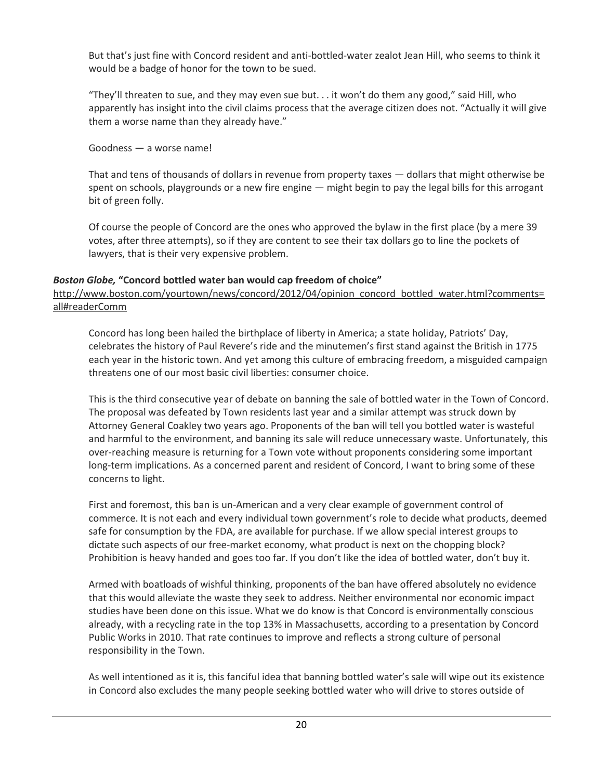But that's just fine with Concord resident and anti-bottled-water zealot Jean Hill, who seems to think it would be a badge of honor for the town to be sued.

"They'll threaten to sue, and they may even sue but. . . it won't do them any good," said Hill, who apparently has insight into the civil claims process that the average citizen does not. "Actually it will give them a worse name than they already have."

Goodness — a worse name!

That and tens of thousands of dollars in revenue from property taxes — dollars that might otherwise be spent on schools, playgrounds or a new fire engine — might begin to pay the legal bills for this arrogant bit of green folly.

Of course the people of Concord are the ones who approved the bylaw in the first place (by a mere 39 votes, after three attempts), so if they are content to see their tax dollars go to line the pockets of lawyers, that is their very expensive problem.

# *Boston Globe,* **"Concord bottled water ban would cap freedom of choice"**

[http://www.boston.com/yourtown/news/concord/2012/04/opinion\\_concord\\_bottled\\_water.html?comments=](http://www.boston.com/yourtown/news/concord/2012/04/opinion_concord_bottled_water.html?comments=all#readerComm) [all#readerComm](http://www.boston.com/yourtown/news/concord/2012/04/opinion_concord_bottled_water.html?comments=all#readerComm)

Concord has long been hailed the birthplace of liberty in America; a state holiday, Patriots' Day, celebrates the history of Paul Revere's ride and the minutemen's first stand against the British in 1775 each year in the historic town. And yet among this culture of embracing freedom, a misguided campaign threatens one of our most basic civil liberties: consumer choice.

This is the third consecutive year of debate on banning the sale of bottled water in the Town of Concord. The proposal was defeated by Town residents last year and a similar attempt was struck down by Attorney General Coakley two years ago. Proponents of the ban will tell you bottled water is wasteful and harmful to the environment, and banning its sale will reduce unnecessary waste. Unfortunately, this over-reaching measure is returning for a Town vote without proponents considering some important long-term implications. As a concerned parent and resident of Concord, I want to bring some of these concerns to light.

First and foremost, this ban is un-American and a very clear example of government control of commerce. It is not each and every individual town government's role to decide what products, deemed safe for consumption by the FDA, are available for purchase. If we allow special interest groups to dictate such aspects of our free-market economy, what product is next on the chopping block? Prohibition is heavy handed and goes too far. If you don't like the idea of bottled water, don't buy it.

Armed with boatloads of wishful thinking, proponents of the ban have offered absolutely no evidence that this would alleviate the waste they seek to address. Neither environmental nor economic impact studies have been done on this issue. What we do know is that Concord is environmentally conscious already, with a recycling rate in the top 13% in Massachusetts, according to a presentation by Concord Public Works in 2010. That rate continues to improve and reflects a strong culture of personal responsibility in the Town.

As well intentioned as it is, this fanciful idea that banning bottled water's sale will wipe out its existence in Concord also excludes the many people seeking bottled water who will drive to stores outside of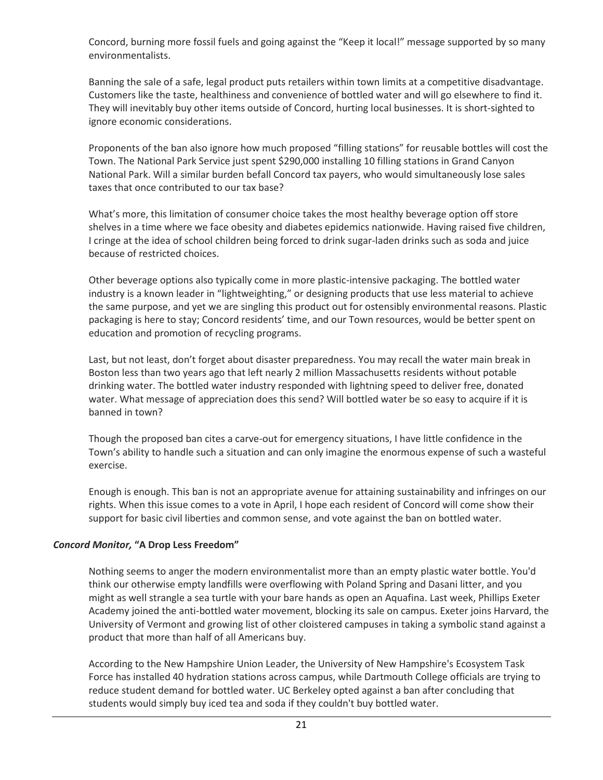Concord, burning more fossil fuels and going against the "Keep it local!" message supported by so many environmentalists.

Banning the sale of a safe, legal product puts retailers within town limits at a competitive disadvantage. Customers like the taste, healthiness and convenience of bottled water and will go elsewhere to find it. They will inevitably buy other items outside of Concord, hurting local businesses. It is short-sighted to ignore economic considerations.

Proponents of the ban also ignore how much proposed "filling stations" for reusable bottles will cost the Town. The National Park Service just spent \$290,000 installing 10 filling stations in Grand Canyon National Park. Will a similar burden befall Concord tax payers, who would simultaneously lose sales taxes that once contributed to our tax base?

What's more, this limitation of consumer choice takes the most healthy beverage option off store shelves in a time where we face obesity and diabetes epidemics nationwide. Having raised five children, I cringe at the idea of school children being forced to drink sugar-laden drinks such as soda and juice because of restricted choices.

Other beverage options also typically come in more plastic-intensive packaging. The bottled water industry is a known leader in "lightweighting," or designing products that use less material to achieve the same purpose, and yet we are singling this product out for ostensibly environmental reasons. Plastic packaging is here to stay; Concord residents' time, and our Town resources, would be better spent on education and promotion of recycling programs.

Last, but not least, don't forget about disaster preparedness. You may recall the water main break in Boston less than two years ago that left nearly 2 million Massachusetts residents without potable drinking water. The bottled water industry responded with lightning speed to deliver free, donated water. What message of appreciation does this send? Will bottled water be so easy to acquire if it is banned in town?

Though the proposed ban cites a carve-out for emergency situations, I have little confidence in the Town's ability to handle such a situation and can only imagine the enormous expense of such a wasteful exercise.

Enough is enough. This ban is not an appropriate avenue for attaining sustainability and infringes on our rights. When this issue comes to a vote in April, I hope each resident of Concord will come show their support for basic civil liberties and common sense, and vote against the ban on bottled water.

# *Concord Monitor,* **"A Drop Less Freedom"**

Nothing seems to anger the modern environmentalist more than an empty plastic water bottle. You'd think our otherwise empty landfills were overflowing with Poland Spring and Dasani litter, and you might as well strangle a sea turtle with your bare hands as open an Aquafina. Last week, Phillips Exeter Academy joined the anti-bottled water movement, blocking its sale on campus. Exeter joins Harvard, the University of Vermont and growing list of other cloistered campuses in taking a symbolic stand against a product that more than half of all Americans buy.

According to the New Hampshire Union Leader, the University of New Hampshire's Ecosystem Task Force has installed 40 hydration stations across campus, while Dartmouth College officials are trying to reduce student demand for bottled water. UC Berkeley opted against a ban after concluding that students would simply buy iced tea and soda if they couldn't buy bottled water.